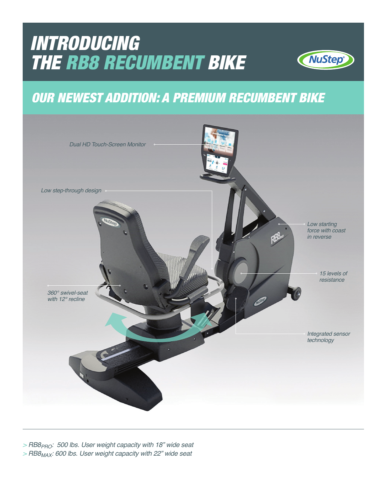# INTRODUCING THE RB8 RECUMBENT BIKE



## OUR NEWEST ADDITION: A PREMIUM RECUMBENT BIKE



*> RB8PRO: 500 lbs. User weight capacity with 18" wide seat > RB8MAX: 600 lbs. User weight capacity with 22" wide seat*